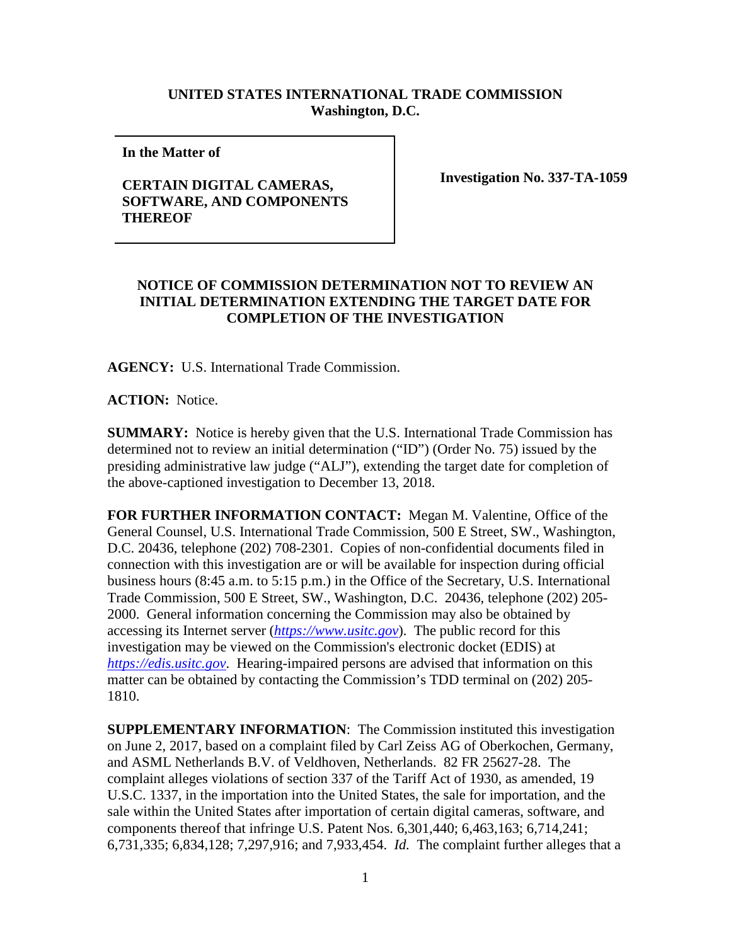## **UNITED STATES INTERNATIONAL TRADE COMMISSION Washington, D.C.**

**In the Matter of** 

## **CERTAIN DIGITAL CAMERAS, SOFTWARE, AND COMPONENTS THEREOF**

**Investigation No. 337-TA-1059**

## **NOTICE OF COMMISSION DETERMINATION NOT TO REVIEW AN INITIAL DETERMINATION EXTENDING THE TARGET DATE FOR COMPLETION OF THE INVESTIGATION**

**AGENCY:** U.S. International Trade Commission.

**ACTION:** Notice.

**SUMMARY:** Notice is hereby given that the U.S. International Trade Commission has determined not to review an initial determination ("ID") (Order No. 75) issued by the presiding administrative law judge ("ALJ"), extending the target date for completion of the above-captioned investigation to December 13, 2018.

**FOR FURTHER INFORMATION CONTACT:** Megan M. Valentine, Office of the General Counsel, U.S. International Trade Commission, 500 E Street, SW., Washington, D.C. 20436, telephone (202) 708-2301. Copies of non-confidential documents filed in connection with this investigation are or will be available for inspection during official business hours (8:45 a.m. to 5:15 p.m.) in the Office of the Secretary, U.S. International Trade Commission, 500 E Street, SW., Washington, D.C. 20436, telephone (202) 205- 2000. General information concerning the Commission may also be obtained by accessing its Internet server (*[https://www.usitc.gov](https://www.usitc.gov/)*). The public record for this investigation may be viewed on the Commission's electronic docket (EDIS) at *[https://edis.usitc.gov](https://edis.usitc.gov/)*. Hearing-impaired persons are advised that information on this matter can be obtained by contacting the Commission's TDD terminal on (202) 205- 1810.

**SUPPLEMENTARY INFORMATION**: The Commission instituted this investigation on June 2, 2017, based on a complaint filed by Carl Zeiss AG of Oberkochen, Germany, and ASML Netherlands B.V. of Veldhoven, Netherlands. 82 FR 25627-28. The complaint alleges violations of section 337 of the Tariff Act of 1930, as amended, 19 U.S.C. 1337, in the importation into the United States, the sale for importation, and the sale within the United States after importation of certain digital cameras, software, and components thereof that infringe U.S. Patent Nos. 6,301,440; 6,463,163; 6,714,241; 6,731,335; 6,834,128; 7,297,916; and 7,933,454. *Id.* The complaint further alleges that a